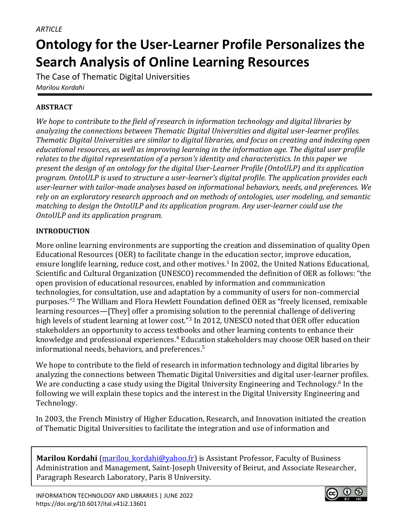# **Ontology for the User-Learner Profile Personalizes the Search Analysis of Online Learning Resources**

The Case of Thematic Digital Universities *Marilou Kordahi*

# **ABSTRACT**

*We hope to contribute to the field of research in information technology and digital libraries by analyzing the connections between Thematic Digital Universities and digital user-learner profiles. Thematic Digital Universities are similar to digital libraries, and focus on creating and indexing open educational resources, as well as improving learning in the information age. The digital user profile relates to the digital representation of a person's identity and characteristics. In this paper we present the design of an ontology for the digital User-Learner Profile (OntoULP) and its application program. OntoULP is used to structure a user-learner's digital profile. The application provides each user-learner with tailor-made analyses based on informational behaviors, needs, and preferences. We rely on an exploratory research approach and on methods of ontologies, user modeling, and semantic matching to design the OntoULP and its application program. Any user-learner could use the OntoULP and its application program.*

# **INTRODUCTION**

More online learning environments are supporting the creation and dissemination of quality Open Educational Resources (OER) to facilitate change in the education sector, improve education, ensure longlife learning, reduce cost, and other motives.<sup>1</sup> In 2002, the United Nations Educational, Scientific and Cultural Organization (UNESCO) recommended the definition of OER as follows: "the open provision of educational resources, enabled by information and communication technologies, for consultation, use and adaptation by a community of users for non-commercial purposes."<sup>2</sup> The William and Flora Hewlett Foundation defined OER as "freely licensed, remixable learning resources—[They] offer a promising solution to the perennial challenge of delivering high levels of student learning at lower cost."<sup>3</sup> In 2012, UNESCO noted that OER offer education stakeholders an opportunity to access textbooks and other learning contents to enhance their knowledge and professional experiences. <sup>4</sup> Education stakeholders may choose OER based on their informational needs, behaviors, and preferences. 5

We hope to contribute to the field of research in information technology and digital libraries by analyzing the connections between Thematic Digital Universities and digital user-learner profiles. We are conducting a case study using the Digital University Engineering and Technology.<sup>6</sup> In the following we will explain these topics and the interest in the Digital University Engineering and Technology.

In 2003, the French Ministry of Higher Education, Research, and Innovation initiated the creation of Thematic Digital Universities to facilitate the integration and use of information and

**Marilou Kordahi** (marilou kordahi@yahoo.fr) is Assistant Professor, Faculty of Business Administration and Management, Saint-Joseph University of Beirut, and Associate Researcher, Paragraph Research Laboratory, Paris 8 University.

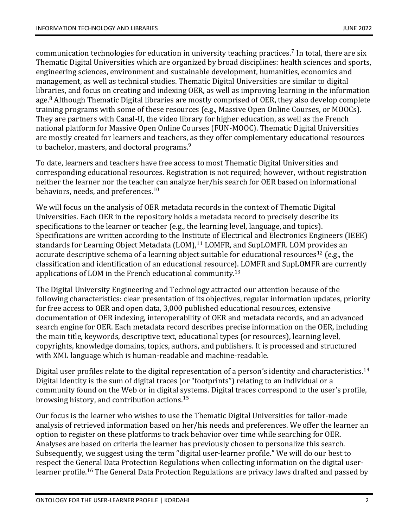communication technologies for education in university teaching practices.<sup>7</sup> In total, there are six Thematic Digital Universities which are organized by broad disciplines: health sciences and sports, engineering sciences, environment and sustainable development, humanities, economics and management, as well as technical studies. Thematic Digital Universities are similar to digital libraries, and focus on creating and indexing OER, as well as improving learning in the information age.<sup>8</sup> Although Thematic Digital libraries are mostly comprised of OER, they also develop complete training programs with some of these resources (e.g., Massive Open Online Courses, or MOOCs). They are partners with Canal-U, the video library for higher education, as well as the French national platform for Massive Open Online Courses (FUN-MOOC). Thematic Digital Universities are mostly created for learners and teachers, as they offer complementary educational resources to bachelor, masters, and doctoral programs.<sup>9</sup>

To date, learners and teachers have free access to most Thematic Digital Universities and corresponding educational resources. Registration is not required; however, without registration neither the learner nor the teacher can analyze her/his search for OER based on informational behaviors, needs, and preferences.<sup>10</sup>

We will focus on the analysis of OER metadata records in the context of Thematic Digital Universities. Each OER in the repository holds a metadata record to precisely describe its specifications to the learner or teacher (e.g., the learning level, language, and topics). Specifications are written according to the Institute of Electrical and Electronics Engineers (IEEE) standards for Learning Object Metadata (LOM),<sup>11</sup> LOMFR, and SupLOMFR. LOM provides an accurate descriptive schema of a learning object suitable for educational resources<sup>12</sup> (e.g., the classification and identification of an educational resource). LOMFR and SupLOMFR are currently applications of LOM in the French educational community.<sup>13</sup>

The Digital University Engineering and Technology attracted our attention because of the following characteristics: clear presentation of its objectives, regular information updates, priority for free access to OER and open data, 3,000 published educational resources, extensive documentation of OER indexing, interoperability of OER and metadata records, and an advanced search engine for OER. Each metadata record describes precise information on the OER, including the main title, keywords, descriptive text, educational types (or resources), learning level, copyrights, knowledge domains, topics, authors, and publishers. It is processed and structured with XML language which is human-readable and machine-readable.

Digital user profiles relate to the digital representation of a person's identity and characteristics.<sup>14</sup> Digital identity is the sum of digital traces (or "footprints") relating to an individual or a community found on the Web or in digital systems. Digital traces correspond to the user's profile, browsing history, and contribution actions.<sup>15</sup>

Our focus is the learner who wishes to use the Thematic Digital Universities for tailor-made analysis of retrieved information based on her/his needs and preferences. We offer the learner an option to register on these platforms to track behavior over time while searching for OER. Analyses are based on criteria the learner has previously chosen to personalize this search. Subsequently, we suggest using the term "digital user-learner profile." We will do our best to respect the General Data Protection Regulations when collecting information on the digital userlearner profile.<sup>16</sup> The General Data Protection Regulations are privacy laws drafted and passed by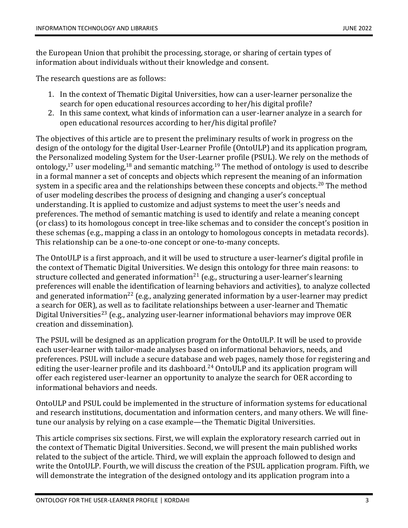the European Union that prohibit the processing, storage, or sharing of certain types of information about individuals without their knowledge and consent.

The research questions are as follows:

- 1. In the context of Thematic Digital Universities, how can a user-learner personalize the search for open educational resources according to her/his digital profile?
- 2. In this same context, what kinds of information can a user-learner analyze in a search for open educational resources according to her/his digital profile?

The objectives of this article are to present the preliminary results of work in progress on the design of the ontology for the digital User-Learner Profile (OntoULP) and its application program, the Personalized modeling System for the User-Learner profile (PSUL). We rely on the methods of ontology,<sup>17</sup> user modeling,<sup>18</sup> and semantic matching.<sup>19</sup> The method of ontology is used to describe in a formal manner a set of concepts and objects which represent the meaning of an information system in a specific area and the relationships between these concepts and objects.<sup>20</sup> The method of user modeling describes the process of designing and changing a user's conceptual understanding. It is applied to customize and adjust systems to meet the user's needs and preferences. The method of semantic matching is used to identify and relate a meaning concept (or class) to its homologous concept in tree-like schemas and to consider the concept's position in these schemas (e.g., mapping a class in an ontology to homologous concepts in metadata records). This relationship can be a one-to-one concept or one-to-many concepts.

The OntoULP is a first approach, and it will be used to structure a user-learner's digital profile in the context of Thematic Digital Universities. We design this ontology for three main reasons: to structure collected and generated information<sup>21</sup> (e.g., structuring a user-learner's learning preferences will enable the identification of learning behaviors and activities), to analyze collected and generated information<sup>22</sup> (e.g., analyzing generated information by a user-learner may predict a search for OER), as well as to facilitate relationships between a user-learner and Thematic Digital Universities<sup>23</sup> (e.g., analyzing user-learner informational behaviors may improve OER creation and dissemination).

The PSUL will be designed as an application program for the OntoULP. It will be used to provide each user-learner with tailor-made analyses based on informational behaviors, needs, and preferences. PSUL will include a secure database and web pages, namely those for registering and editing the user-learner profile and its dashboard.<sup>24</sup> OntoULP and its application program will offer each registered user-learner an opportunity to analyze the search for OER according to informational behaviors and needs.

OntoULP and PSUL could be implemented in the structure of information systems for educational and research institutions, documentation and information centers, and many others. We will finetune our analysis by relying on a case example—the Thematic Digital Universities.

This article comprises six sections. First, we will explain the exploratory research carried out in the context of Thematic Digital Universities. Second, we will present the main published works related to the subject of the article. Third, we will explain the approach followed to design and write the OntoULP. Fourth, we will discuss the creation of the PSUL application program. Fifth, we will demonstrate the integration of the designed ontology and its application program into a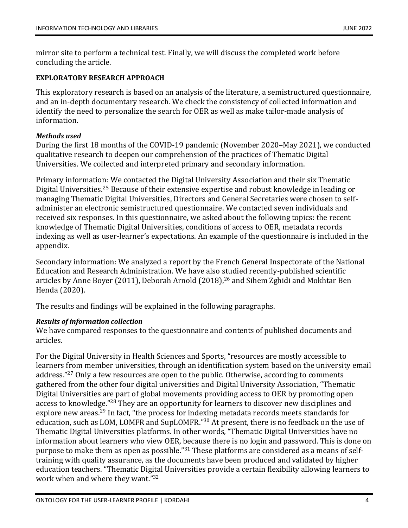mirror site to perform a technical test. Finally, we will discuss the completed work before concluding the article.

# **EXPLORATORY RESEARCH APPROACH**

This exploratory research is based on an analysis of the literature, a semistructured questionnaire, and an in-depth documentary research. We check the consistency of collected information and identify the need to personalize the search for OER as well as make tailor-made analysis of information.

## *Methods used*

During the first 18 months of the COVID-19 pandemic (November 2020–May 2021), we conducted qualitative research to deepen our comprehension of the practices of Thematic Digital Universities. We collected and interpreted primary and secondary information.

Primary information: We contacted the Digital University Association and their six Thematic Digital Universities. <sup>25</sup> Because of their extensive expertise and robust knowledge in leading or managing Thematic Digital Universities, Directors and General Secretaries were chosen to selfadminister an electronic semistructured questionnaire. We contacted seven individuals and received six responses. In this questionnaire, we asked about the following topics: the recent knowledge of Thematic Digital Universities, conditions of access to OER, metadata records indexing as well as user-learner's expectations. An example of the questionnaire is included in the appendix.

Secondary information: We analyzed a report by the French General Inspectorate of the National Education and Research Administration. We have also studied recently-published scientific articles by Anne Boyer (2011), Deborah Arnold (2018), <sup>26</sup> and Sihem Zghidi and Mokhtar Ben Henda (2020).

The results and findings will be explained in the following paragraphs.

# *Results of information collection*

We have compared responses to the questionnaire and contents of published documents and articles.

For the Digital University in Health Sciences and Sports, "resources are mostly accessible to learners from member universities, through an identification system based on the university email address."<sup>27</sup> Only a few resources are open to the public. Otherwise, according to comments gathered from the other four digital universities and Digital University Association, "Thematic Digital Universities are part of global movements providing access to OER by promoting open access to knowledge."<sup>28</sup> They are an opportunity for learners to discover new disciplines and explore new areas.<sup>29</sup> In fact, "the process for indexing metadata records meets standards for education, such as LOM, LOMFR and SupLOMFR."<sup>30</sup> At present, there is no feedback on the use of Thematic Digital Universities platforms. In other words, "Thematic Digital Universities have no information about learners who view OER, because there is no login and password. This is done on purpose to make them as open as possible."<sup>31</sup> These platforms are considered as a means of selftraining with quality assurance, as the documents have been produced and validated by higher education teachers. "Thematic Digital Universities provide a certain flexibility allowing learners to work when and where they want."<sup>32</sup>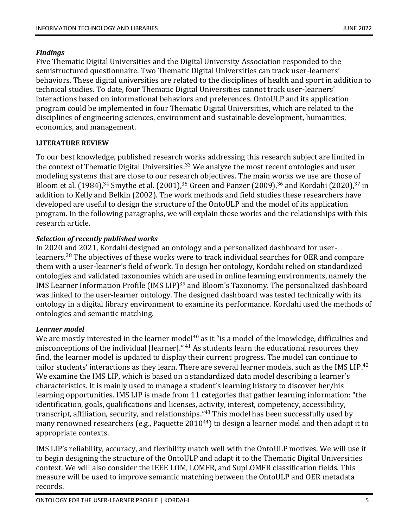# *Findings*

Five Thematic Digital Universities and the Digital University Association responded to the semistructured questionnaire. Two Thematic Digital Universities can track user-learners' behaviors. These digital universities are related to the disciplines of health and sport in addition to technical studies. To date, four Thematic Digital Universities cannot track user-learners' interactions based on informational behaviors and preferences. OntoULP and its application program could be implemented in four Thematic Digital Universities, which are related to the disciplines of engineering sciences, environment and sustainable development, humanities, economics, and management.

# **LITERATURE REVIEW**

To our best knowledge, published research works addressing this research subject are limited in the context of Thematic Digital Universities.<sup>33</sup> We analyze the most recent ontologies and user modeling systems that are close to our research objectives. The main works we use are those of Bloom et al. (1984),<sup>34</sup> Smythe et al. (2001),<sup>35</sup> Green and Panzer (2009),<sup>36</sup> and Kordahi (2020),<sup>37</sup> in addition to Kelly and Belkin (2002). The work methods and field studies these researchers have developed are useful to design the structure of the OntoULP and the model of its application program. In the following paragraphs, we will explain these works and the relationships with this research article.

# *Selection of recently published works*

In 2020 and 2021, Kordahi designed an ontology and a personalized dashboard for userlearners.<sup>38</sup> The objectives of these works were to track individual searches for OER and compare them with a user-learner's field of work. To design her ontology, Kordahi relied on standardized ontologies and validated taxonomies which are used in online learning environments, namely the IMS Learner Information Profile (IMS LIP)<sup>39</sup> and Bloom's Taxonomy. The personalized dashboard was linked to the user-learner ontology. The designed dashboard was tested technically with its ontology in a digital library environment to examine its performance. Kordahi used the methods of ontologies and semantic matching.

# *Learner model*

We are mostly interested in the learner model<sup>40</sup> as it "is a model of the knowledge, difficulties and misconceptions of the individual [learner]." <sup>41</sup> As students learn the educational resources they find, the learner model is updated to display their current progress. The model can continue to tailor students' interactions as they learn. There are several learner models, such as the IMS LIP.<sup>42</sup> We examine the IMS LIP, which is based on a standardized data model describing a learner's characteristics. It is mainly used to manage a student's learning history to discover her/his learning opportunities. IMS LIP is made from 11 categories that gather learning information: "the identification, goals, qualifications and licenses, activity, interest, competency, accessibility, transcript, affiliation, security, and relationships."<sup>43</sup> This model has been successfully used by many renowned researchers (e.g., Paquette  $2010^{44}$ ) to design a learner model and then adapt it to appropriate contexts.

IMS LIP's reliability, accuracy, and flexibility match well with the OntoULP motives. We will use it to begin designing the structure of the OntoULP and adapt it to the Thematic Digital Universities context. We will also consider the IEEE LOM, LOMFR, and SupLOMFR classification fields. This measure will be used to improve semantic matching between the OntoULP and OER metadata records.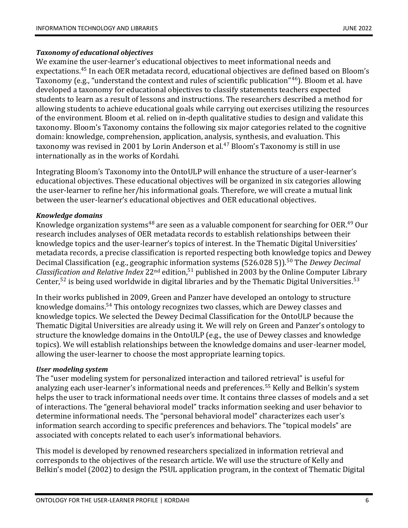# *Taxonomy of educational objectives*

We examine the user-learner's educational objectives to meet informational needs and expectations.<sup>45</sup> In each OER metadata record, educational objectives are defined based on Bloom's Taxonomy (e.g., "understand the context and rules of scientific publication"<sup>46</sup>). Bloom et al. have developed a taxonomy for educational objectives to classify statements teachers expected students to learn as a result of lessons and instructions. The researchers described a method for allowing students to achieve educational goals while carrying out exercises utilizing the resources of the environment. Bloom et al. relied on in-depth qualitative studies to design and validate this taxonomy. Bloom's Taxonomy contains the following six major categories related to the cognitive domain: knowledge, comprehension, application, analysis, synthesis, and evaluation. This taxonomy was revised in 2001 by Lorin Anderson et al*.* <sup>47</sup> Bloom's Taxonomy is still in use internationally as in the works of Kordahi*.*

Integrating Bloom's Taxonomy into the OntoULP will enhance the structure of a user-learner's educational objectives. These educational objectives will be organized in six categories allowing the user-learner to refine her/his informational goals. Therefore, we will create a mutual link between the user-learner's educational objectives and OER educational objectives.

## *Knowledge domains*

Knowledge organization systems<sup>48</sup> are seen as a valuable component for searching for OER.<sup>49</sup> Our research includes analyses of OER metadata records to establish relationships between their knowledge topics and the user-learner's topics of interest. In the Thematic Digital Universities' metadata records, a precise classification is reported respecting both knowledge topics and Dewey Decimal Classification (e.g., geographic information systems (526.028 5)).<sup>50</sup> The *Dewey Decimal Classification and Relative Index* 22nd edition, <sup>51</sup> published in 2003 by the Online Computer Library Center,<sup>52</sup> is being used worldwide in digital libraries and by the Thematic Digital Universities.<sup>53</sup>

In their works published in 2009, Green and Panzer have developed an ontology to structure knowledge domains.<sup>54</sup> This ontology recognizes two classes, which are Dewey classes and knowledge topics. We selected the Dewey Decimal Classification for the OntoULP because the Thematic Digital Universities are already using it. We will rely on Green and Panzer's ontology to structure the knowledge domains in the OntoULP (e.g., the use of Dewey classes and knowledge topics). We will establish relationships between the knowledge domains and user-learner model, allowing the user-learner to choose the most appropriate learning topics.

#### *User modeling system*

The "user modeling system for personalized interaction and tailored retrieval" is useful for analyzing each user-learner's informational needs and preferences.<sup>55</sup> Kelly and Belkin's system helps the user to track informational needs over time. It contains three classes of models and a set of interactions. The "general behavioral model" tracks information seeking and user behavior to determine informational needs. The "personal behavioral model" characterizes each user's information search according to specific preferences and behaviors. The "topical models" are associated with concepts related to each user's informational behaviors.

This model is developed by renowned researchers specialized in information retrieval and corresponds to the objectives of the research article. We will use the structure of Kelly and Belkin's model (2002) to design the PSUL application program, in the context of Thematic Digital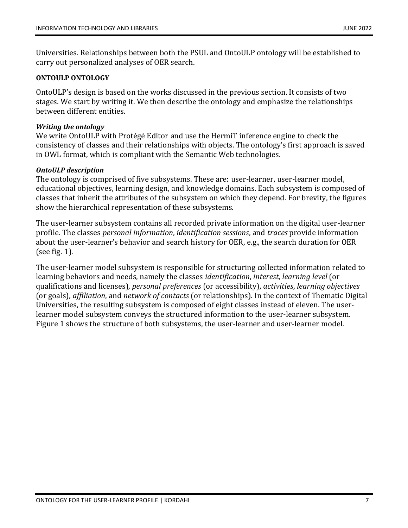Universities. Relationships between both the PSUL and OntoULP ontology will be established to carry out personalized analyses of OER search.

# **ONTOULP ONTOLOGY**

OntoULP's design is based on the works discussed in the previous section. It consists of two stages. We start by writing it. We then describe the ontology and emphasize the relationships between different entities.

#### *Writing the ontology*

We write OntoULP with Protégé Editor and use the HermiT inference engine to check the consistency of classes and their relationships with objects. The ontology's first approach is saved in OWL format, which is compliant with the Semantic Web technologies.

#### *OntoULP description*

The ontology is comprised of five subsystems. These are: user-learner, user-learner model, educational objectives, learning design, and knowledge domains. Each subsystem is composed of classes that inherit the attributes of the subsystem on which they depend. For brevity, the figures show the hierarchical representation of these subsystems.

The user-learner subsystem contains all recorded private information on the digital user-learner profile. The classes *personal information*, *identification sessions*, and *traces* provide information about the user-learner's behavior and search history for OER, e.g., the search duration for OER (see fig. 1).

The user-learner model subsystem is responsible for structuring collected information related to learning behaviors and needs, namely the classes *identification*, *interest*, *learning level* (or qualifications and licenses), *personal preferences* (or accessibility), *activities*, *learning objectives* (or goals), *affiliation*, and *network of contacts* (or relationships). In the context of Thematic Digital Universities, the resulting subsystem is composed of eight classes instead of eleven. The userlearner model subsystem conveys the structured information to the user-learner subsystem. Figure 1 shows the structure of both subsystems, the user-learner and user-learner model*.*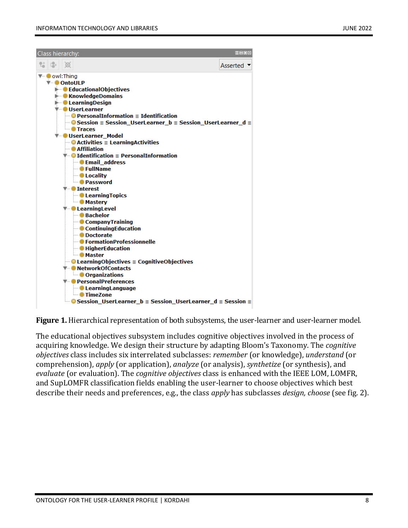

**Figure 1.** Hierarchical representation of both subsystems, the user-learner and user-learner model*.*

The educational objectives subsystem includes cognitive objectives involved in the process of acquiring knowledge. We design their structure by adapting Bloom's Taxonomy. The *cognitive objectives* class includes six interrelated subclasses: *remember* (or knowledge), *understand* (or comprehension), *apply* (or application), *analyze* (or analysis), *synthetize* (or synthesis), and *evaluate* (or evaluation). The *cognitive objectives* class is enhanced with the IEEE LOM, LOMFR, and SupLOMFR classification fields enabling the user-learner to choose objectives which best describe their needs and preferences, e.g., the class *apply* has subclasses *design, choose* (see fig. 2).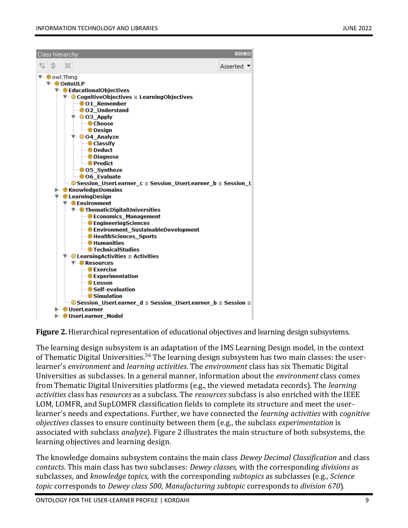

**Figure 2.** Hierarchical representation of educational objectives and learning design subsystems.

The learning design subsystem is an adaptation of the IMS Learning Design model, in the context of Thematic Digital Universities.<sup>56</sup> The learning design subsystem has two main classes: the userlearner's *environment* and *learning activities*. The *environment* class has six Thematic Digital Universities as subclasses. In a general manner, information about the *environment* class comes from Thematic Digital Universities platforms (e.g., the viewed metadata records). The *learning activities* class has *resources* as a subclass. The *resources* subclass is also enriched with the IEEE LOM, LOMFR, and SupLOMFR classification fields to complete its structure and meet the userlearner's needs and expectations. Further, we have connected the *learning activities* with *cognitive objectives* classes to ensure continuity between them (e.g., the subclass *experimentation* is associated with subclass *analyze*). Figure 2 illustrates the main structure of both subsystems, the learning objectives and learning design.

The knowledge domains subsystem contains the main class *Dewey Decimal Classification* and class *contacts*. This main class has two subclasses: *Dewey classes,* with the corresponding *divisions* as subclasses, and *knowledge topics,* with the corresponding *subtopics* as subclasses (e.g., *Science topic* corresponds to *Dewey class 500*, *Manufacturing subtopic* corresponds to *division 670*).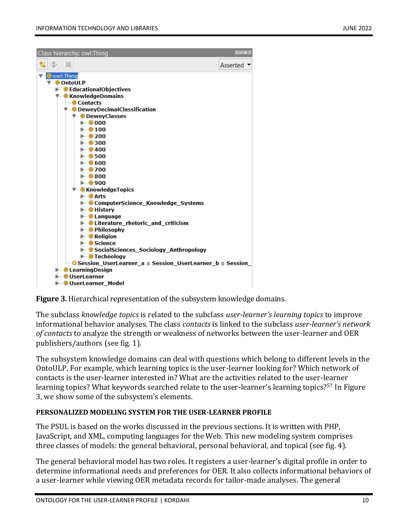| Class hierarchy: owl:Thing                                                                                                                                                                                                                                                                                                                                                                                                                                                                                                                                                                                                                                                                                                                                                                                                                                                                                                                                                                                                                            | $\blacksquare$ $\blacksquare$ $\blacksquare$ $\blacksquare$ |  |
|-------------------------------------------------------------------------------------------------------------------------------------------------------------------------------------------------------------------------------------------------------------------------------------------------------------------------------------------------------------------------------------------------------------------------------------------------------------------------------------------------------------------------------------------------------------------------------------------------------------------------------------------------------------------------------------------------------------------------------------------------------------------------------------------------------------------------------------------------------------------------------------------------------------------------------------------------------------------------------------------------------------------------------------------------------|-------------------------------------------------------------|--|
|                                                                                                                                                                                                                                                                                                                                                                                                                                                                                                                                                                                                                                                                                                                                                                                                                                                                                                                                                                                                                                                       | Asserted                                                    |  |
| owl:Thing<br><b>OntoULP</b><br>$\blacktriangleright$ <b>C</b> Educational Objectives<br>▼ CknowledgeDomains<br>$\blacksquare$ Contacts<br>▼ • DeweyDecimalClassification<br><b>V</b> -DeweyClasses<br>$\blacktriangleright$ 000<br>$\blacktriangleright$ 0 100<br>$\blacktriangleright$ 0 200<br>$\blacktriangleright$ 0300<br>$\blacktriangleright$ 0400<br>$\blacktriangleright$ 0.500<br>$\blacktriangleright$ 0.600<br>$\blacktriangleright$ 0700<br>$\blacktriangleright$ 0800<br>$\blacktriangleright$ 0900<br><b>▼ CKnowledgeTopics</b><br>l⊢ O Arts<br>ComputerScience_Knowledge_Systems<br>$\blacktriangleright$ <b>O</b> History<br><b>E</b> Language<br>$\blacktriangleright$ • Literature rhetoric and criticism<br>$\blacktriangleright$ Philosophy<br>$\blacktriangleright$ <b>O</b> Religion<br>$\blacktriangleright$ Science<br>► ● SocialSciences_Sociology_Anthropology<br><b>E</b> Technology<br>$\blacksquare$ Session UserLearner a $\equiv$ Session UserLearner b $\equiv$ Session<br><b>E</b> LearningDesign<br>► OUserLearner |                                                             |  |
| ▶ ● UserLearner Model                                                                                                                                                                                                                                                                                                                                                                                                                                                                                                                                                                                                                                                                                                                                                                                                                                                                                                                                                                                                                                 |                                                             |  |



The subclass *knowledge topics* is related to the subclass *user-learner's learning topics* to improve informational behavior analyses. The class *contacts* is linked to the subclass *user-learner's network of contacts* to analyze the strength or weakness of networks between the user-learner and OER publishers/authors (see fig. 1).

The subsystem knowledge domains can deal with questions which belong to different levels in the OntoULP. For example, which learning topics is the user-learner looking for? Which network of contacts is the user-learner interested in? What are the activities related to the user-learner learning topics? What keywords searched relate to the user-learner's learning topics?<sup>57</sup> In Figure 3, we show some of the subsystem's elements.

# **PERSONALIZED MODELING SYSTEM FOR THE USER-LEARNER PROFILE**

The PSUL is based on the works discussed in the previous sections. It is written with PHP, JavaScript, and XML, computing languages for the Web. This new modeling system comprises three classes of models: the general behavioral, personal behavioral, and topical (see fig. 4).

The general behavioral model has two roles. It registers a user-learner's digital profile in order to determine informational needs and preferences for OER. It also collects informational behaviors of a user-learner while viewing OER metadata records for tailor-made analyses. The general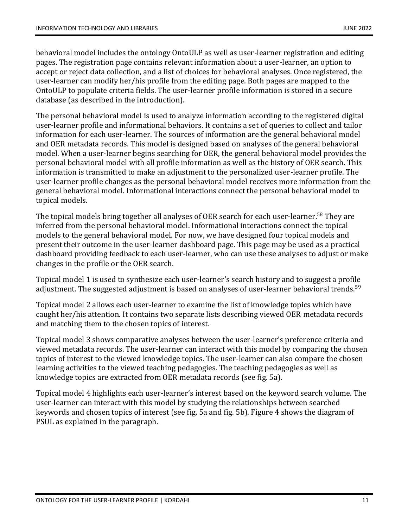behavioral model includes the ontology OntoULP as well as user-learner registration and editing pages. The registration page contains relevant information about a user-learner, an option to accept or reject data collection, and a list of choices for behavioral analyses. Once registered, the user-learner can modify her/his profile from the editing page. Both pages are mapped to the OntoULP to populate criteria fields. The user-learner profile information is stored in a secure database (as described in the introduction).

The personal behavioral model is used to analyze information according to the registered digital user-learner profile and informational behaviors. It contains a set of queries to collect and tailor information for each user-learner. The sources of information are the general behavioral model and OER metadata records. This model is designed based on analyses of the general behavioral model. When a user-learner begins searching for OER, the general behavioral model provides the personal behavioral model with all profile information as well as the history of OER search. This information is transmitted to make an adjustment to the personalized user-learner profile. The user-learner profile changes as the personal behavioral model receives more information from the general behavioral model. Informational interactions connect the personal behavioral model to topical models.

The topical models bring together all analyses of OER search for each user-learner.<sup>58</sup> They are inferred from the personal behavioral model. Informational interactions connect the topical models to the general behavioral model. For now, we have designed four topical models and present their outcome in the user-learner dashboard page. This page may be used as a practical dashboard providing feedback to each user-learner, who can use these analyses to adjust or make changes in the profile or the OER search.

Topical model 1 is used to synthesize each user-learner's search history and to suggest a profile adjustment. The suggested adjustment is based on analyses of user-learner behavioral trends.<sup>59</sup>

Topical model 2 allows each user-learner to examine the list of knowledge topics which have caught her/his attention. It contains two separate lists describing viewed OER metadata records and matching them to the chosen topics of interest.

Topical model 3 shows comparative analyses between the user-learner's preference criteria and viewed metadata records. The user-learner can interact with this model by comparing the chosen topics of interest to the viewed knowledge topics. The user-learner can also compare the chosen learning activities to the viewed teaching pedagogies. The teaching pedagogies as well as knowledge topics are extracted from OER metadata records (see fig. 5a).

Topical model 4 highlights each user-learner's interest based on the keyword search volume. The user-learner can interact with this model by studying the relationships between searched keywords and chosen topics of interest (see fig. 5a and fig. 5b). Figure 4 shows the diagram of PSUL as explained in the paragraph.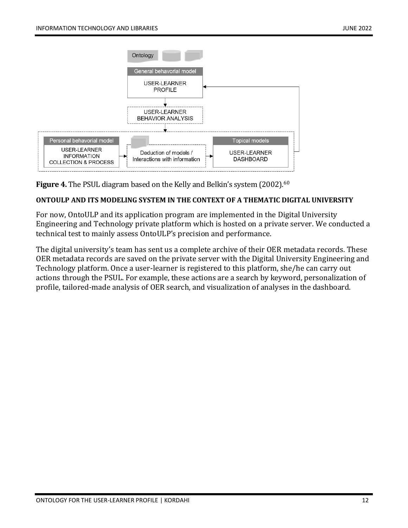

**Figure 4.** The PSUL diagram based on the Kelly and Belkin's system (2002). 60

## **ONTOULP AND ITS MODELING SYSTEM IN THE CONTEXT OF A THEMATIC DIGITAL UNIVERSITY**

For now, OntoULP and its application program are implemented in the Digital University Engineering and Technology private platform which is hosted on a private server. We conducted a technical test to mainly assess OntoULP's precision and performance.

The digital university's team has sent us a complete archive of their OER metadata records. These OER metadata records are saved on the private server with the Digital University Engineering and Technology platform. Once a user-learner is registered to this platform, she/he can carry out actions through the PSUL. For example, these actions are a search by keyword, personalization of profile, tailored-made analysis of OER search, and visualization of analyses in the dashboard.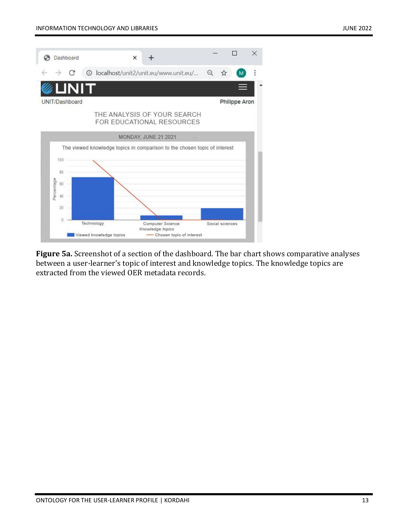

**Figure 5a.** Screenshot of a section of the dashboard. The bar chart shows comparative analyses between a user-learner's topic of interest and knowledge topics. The knowledge topics are extracted from the viewed OER metadata records.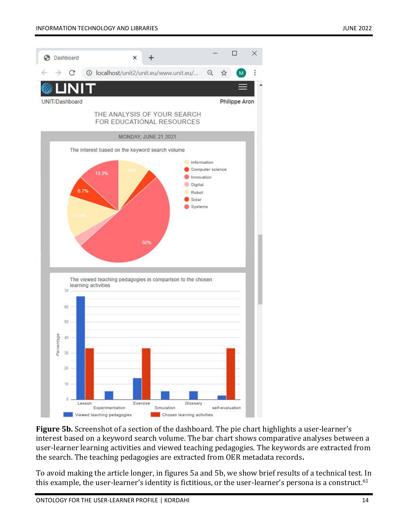

**Figure 5b.** Screenshot of a section of the dashboard. The pie chart highlights a user-learner's interest based on a keyword search volume. The bar chart shows comparative analyses between a user-learner learning activities and viewed teaching pedagogies. The keywords are extracted from the search. The teaching pedagogies are extracted from OER metadata records**.** 

To avoid making the article longer, in figures 5a and 5b, we show brief results of a technical test. In this example, the user-learner's identity is fictitious, or the user-learner's persona is a construct.<sup>61</sup>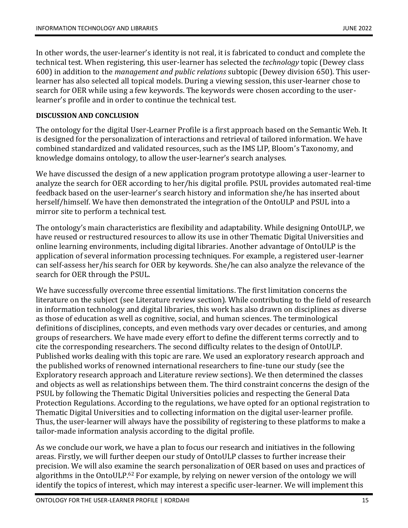In other words, the user-learner's identity is not real, it is fabricated to conduct and complete the technical test. When registering, this user-learner has selected the *technology* topic (Dewey class 600) in addition to the *management and public relations* subtopic (Dewey division 650). This userlearner has also selected all topical models. During a viewing session, this user-learner chose to search for OER while using a few keywords. The keywords were chosen according to the userlearner's profile and in order to continue the technical test.

# **DISCUSSION AND CONCLUSION**

The ontology for the digital User-Learner Profile is a first approach based on the Semantic Web. It is designed for the personalization of interactions and retrieval of tailored information. We have combined standardized and validated resources, such as the IMS LIP, Bloom's Taxonomy, and knowledge domains ontology, to allow the user-learner's search analyses.

We have discussed the design of a new application program prototype allowing a user-learner to analyze the search for OER according to her/his digital profile. PSUL provides automated real-time feedback based on the user-learner's search history and information she/he has inserted about herself/himself. We have then demonstrated the integration of the OntoULP and PSUL into a mirror site to perform a technical test.

The ontology's main characteristics are flexibility and adaptability. While designing OntoULP, we have reused or restructured resources to allow its use in other Thematic Digital Universities and online learning environments, including digital libraries. Another advantage of OntoULP is the application of several information processing techniques. For example, a registered user-learner can self-assess her/his search for OER by keywords. She/he can also analyze the relevance of the search for OER through the PSUL.

We have successfully overcome three essential limitations. The first limitation concerns the literature on the subject (see Literature review section). While contributing to the field of research in information technology and digital libraries, this work has also drawn on disciplines as diverse as those of education as well as cognitive, social, and human sciences. The terminological definitions of disciplines, concepts, and even methods vary over decades or centuries, and among groups of researchers. We have made every effort to define the different terms correctly and to cite the corresponding researchers. The second difficulty relates to the design of OntoULP. Published works dealing with this topic are rare. We used an exploratory research approach and the published works of renowned international researchers to fine-tune our study (see the Exploratory research approach and Literature review sections). We then determined the classes and objects as well as relationships between them. The third constraint concerns the design of the PSUL by following the Thematic Digital Universities policies and respecting the General Data Protection Regulations. According to the regulations, we have opted for an optional registration to Thematic Digital Universities and to collecting information on the digital user-learner profile. Thus, the user-learner will always have the possibility of registering to these platforms to make a tailor-made information analysis according to the digital profile.

As we conclude our work, we have a plan to focus our research and initiatives in the following areas. Firstly, we will further deepen our study of OntoULP classes to further increase their precision. We will also examine the search personalization of OER based on uses and practices of algorithms in the OntoULP.<sup>62</sup> For example, by relying on newer version of the ontology we will identify the topics of interest, which may interest a specific user-learner. We will implement this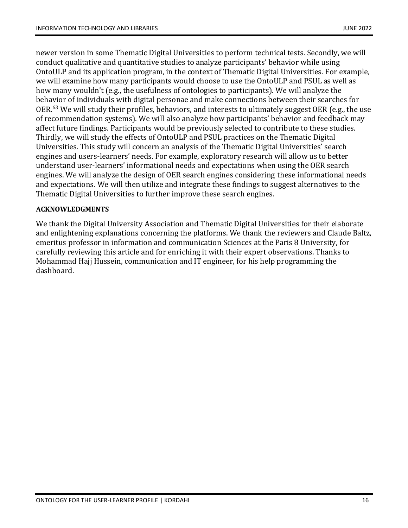newer version in some Thematic Digital Universities to perform technical tests. Secondly, we will conduct qualitative and quantitative studies to analyze participants' behavior while using OntoULP and its application program, in the context of Thematic Digital Universities. For example, we will examine how many participants would choose to use the OntoULP and PSUL as well as how many wouldn't (e.g., the usefulness of ontologies to participants). We will analyze the behavior of individuals with digital personae and make connections between their searches for OER.<sup>63</sup> We will study their profiles, behaviors, and interests to ultimately suggest OER (e.g., the use of recommendation systems). We will also analyze how participants' behavior and feedback may affect future findings. Participants would be previously selected to contribute to these studies. Thirdly, we will study the effects of OntoULP and PSUL practices on the Thematic Digital Universities. This study will concern an analysis of the Thematic Digital Universities' search engines and users-learners' needs. For example, exploratory research will allow us to better understand user-learners' informational needs and expectations when using the OER search engines. We will analyze the design of OER search engines considering these informational needs and expectations. We will then utilize and integrate these findings to suggest alternatives to the Thematic Digital Universities to further improve these search engines.

# **ACKNOWLEDGMENTS**

We thank the Digital University Association and Thematic Digital Universities for their elaborate and enlightening explanations concerning the platforms. We thank the reviewers and Claude Baltz, emeritus professor in information and communication Sciences at the Paris 8 University, for carefully reviewing this article and for enriching it with their expert observations. Thanks to Mohammad Hajj Hussein, communication and IT engineer, for his help programming the dashboard.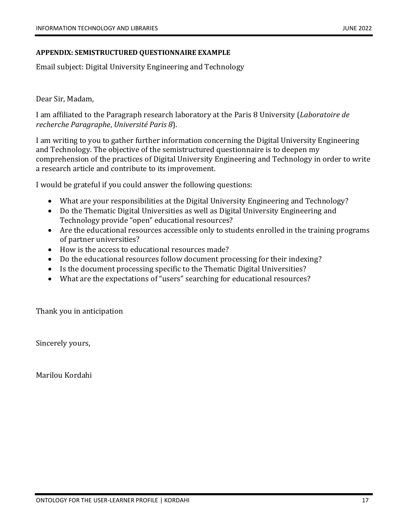#### **APPENDIX: SEMISTRUCTURED QUESTIONNAIRE EXAMPLE**

Email subject: Digital University Engineering and Technology

Dear Sir, Madam,

I am affiliated to the Paragraph research laboratory at the Paris 8 University (*Laboratoire de recherche Paragraphe*, *Université Paris 8*).

I am writing to you to gather further information concerning the Digital University Engineering and Technology. The objective of the semistructured questionnaire is to deepen my comprehension of the practices of Digital University Engineering and Technology in order to write a research article and contribute to its improvement.

I would be grateful if you could answer the following questions:

- What are your responsibilities at the Digital University Engineering and Technology?
- Do the Thematic Digital Universities as well as Digital University Engineering and Technology provide "open" educational resources?
- Are the educational resources accessible only to students enrolled in the training programs of partner universities?
- How is the access to educational resources made?
- Do the educational resources follow document processing for their indexing?
- Is the document processing specific to the Thematic Digital Universities?
- What are the expectations of "users" searching for educational resources?

Thank you in anticipation

Sincerely yours,

Marilou Kordahi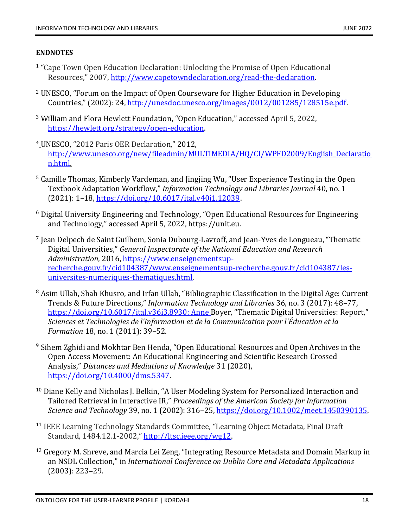# **ENDNOTES**

- <sup>1</sup> "Cape Town Open Education Declaration: Unlocking the Promise of Open Educational Resources," 2007, [http://www.capetowndeclaration.org/read-the-declaration.](http://www.capetowndeclaration.org/read-the-declaration)
- <sup>2</sup> UNESCO, "Forum on the Impact of Open Courseware for Higher Education in Developing Countries," (2002): 24, [http://unesdoc.unesco.org/images/0012/001285/128515e.pdf.](http://unesdoc.unesco.org/images/0012/001285/128515e.pdf)
- <sup>3</sup> William and Flora Hewlett Foundation, "Open Education," accessed April 5, 2022, [https://hewlett.org/strategy/open-education.](https://hewlett.org/strategy/open-education)
- <sup>4</sup> UNESCO, "2012 Paris OER Declaration," 2012, [http://www.unesco.org/new/fileadmin/MULTIMEDIA/HQ/CI/WPFD2009/English\\_Declaratio](http://www.unesco.org/new/fileadmin/MULTIMEDIA/HQ/CI/WPFD2009/English_Declaration.html) [n.html.](http://www.unesco.org/new/fileadmin/MULTIMEDIA/HQ/CI/WPFD2009/English_Declaration.html)
- <sup>5</sup> Camille Thomas, Kimberly Vardeman, and Jingjing Wu, "User Experience Testing in the Open Textbook Adaptation Workflow," *Information Technology and Libraries Journal* 40, no. 1 (2021): 1–18, [https://doi.org/10.6017/ital.v40i1.12039.](https://doi.org/10.6017/ital.v40i1.12039)
- <sup>6</sup> Digital University Engineering and Technology, "Open Educational Resources for Engineering and Technology," accessed April 5, 2022, https://unit.eu.
- 7 Jean Delpech de Saint Guilhem, Sonia Dubourg-Lavroff, and Jean-Yves de Longueau, "Thematic Digital Universities," *General Inspectorate of the National Education and Research Administration*, 2016, [https://www.enseignementsup](https://www.enseignementsup-recherche.gouv.fr/cid104387/www.enseignementsup-recherche.gouv.fr/cid104387/les-universites-numeriques-thematiques.html)[recherche.gouv.fr/cid104387/www.enseignementsup-recherche.gouv.fr/cid104387/les](https://www.enseignementsup-recherche.gouv.fr/cid104387/www.enseignementsup-recherche.gouv.fr/cid104387/les-universites-numeriques-thematiques.html)[universites-numeriques-thematiques.html.](https://www.enseignementsup-recherche.gouv.fr/cid104387/www.enseignementsup-recherche.gouv.fr/cid104387/les-universites-numeriques-thematiques.html)
- <sup>8</sup> Asim Ullah, Shah Khusro, and Irfan Ullah, "Bibliographic Classification in the Digital Age: Current Trends & Future Directions," *Information Technology and Libraries* 36, no. 3 (2017): 48–77, [https://doi.org/10.6017/ital.v36i3.8930;](https://doi.org/10.6017/ital.v36i3.8930) Anne Boyer, "Thematic Digital Universities: Report," *Sciences et Technologies de l'Information et de la Communication pour l'Éducation et la Formation* 18, no. 1 (2011): 39–52.
- <sup>9</sup> Sihem Zghidi and Mokhtar Ben Henda, "Open Educational Resources and Open Archives in the Open Access Movement: An Educational Engineering and Scientific Research Crossed Analysis," *Distances and Mediations of Knowledge* 31 (2020), [https://doi.org/10.4000/dms.5347.](https://doi.org/10.4000/dms.5347)
- <sup>10</sup> Diane Kelly and Nicholas J. Belkin, "A User Modeling System for Personalized Interaction and Tailored Retrieval in Interactive IR," *Proceedings of the American Society for Information Science and Technology* 39, no. 1 (2002): 316–25, [https://doi.org/10.1002/meet.1450390135.](https://doi.org/10.1002/meet.1450390135)
- <sup>11</sup> IEEE Learning Technology Standards Committee, "Learning Object Metadata, Final Draft Standard, 1484.12.1-2002," [http://ltsc.ieee.org/wg12.](http://ltsc.ieee.org/wg12)
- $12$  Gregory M. Shreve, and Marcia Lei Zeng, "Integrating Resource Metadata and Domain Markup in an NSDL Collection," in *International Conference on Dublin Core and Metadata Applications* (2003): 223–29.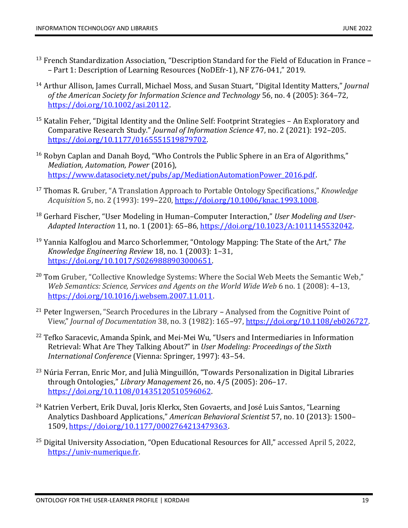- $13$  French Standardization Association, "Description Standard for the Field of Education in France – Part 1: Description of Learning Resources (NoDEfr-1), NF Z76-041," 2019.
- <sup>14</sup> Arthur Allison, James Currall, Michael Moss, and Susan Stuart, "Digital Identity Matters," *Journal of the American Society for Information Science and Technology* 56, no. 4 (2005): 364–72, [https://doi.org/10.1002/asi.20112.](https://doi.org/10.1002/asi.20112)
- <sup>15</sup> Katalin Feher, "Digital Identity and the Online Self: Footprint Strategies An Exploratory and Comparative Research Study." *Journal of Information Science* 47, no. 2 (2021): 192–205. [https://doi.org/10.1177/0165551519879702.](https://doi.org/10.1177/0165551519879702)
- <sup>16</sup> Robyn Caplan and Danah Boyd, "Who Controls the Public Sphere in an Era of Algorithms," *Mediation, Automation, Power* (2016), [https://www.datasociety.net/pubs/ap/MediationAutomationPower\\_2016.pdf.](https://www.datasociety.net/pubs/ap/MediationAutomationPower_2016.pdf)
- <sup>17</sup> Thomas R. Gruber, "A Translation Approach to Portable Ontology Specifications," *Knowledge Acquisition* 5, no. 2 (1993): 199–220, [https://doi.org/10.1006/knac.1993.1008.](https://doi.org/10.1006/knac.1993.1008)
- <sup>18</sup> Gerhard Fischer, "User Modeling in Human–Computer Interaction," *User Modeling and User-Adapted Interaction* 11, no. 1 (2001): 65–86, [https://doi.org/10.1023/A:1011145532042.](https://doi.org/10.1023/A:1011145532042)
- <sup>19</sup> Yannia Kalfoglou and Marco Schorlemmer, "Ontology Mapping: The State of the Art," *The Knowledge Engineering Review* 18, no. 1 (2003): 1–31, [https://doi.org/10.1017/S0269888903000651.](https://doi.org/10.1017/S0269888903000651)
- <sup>20</sup> Tom Gruber, "Collective Knowledge Systems: Where the Social Web Meets the Semantic Web," *Web Semantics: Science, Services and Agents on the World Wide Web* 6 no. 1 (2008): 4–13, [https://doi.org/10.1016/j.websem.2007.11.011.](https://doi.org/10.1016/j.websem.2007.11.011)
- <sup>21</sup> Peter Ingwersen, "Search Procedures in the Library Analysed from the Cognitive Point of View," *Journal of Documentation* 38, no. 3 (1982): 165–97, [https://doi.org/10.1108/eb026727.](https://doi.org/10.1108/eb026727)
- <sup>22</sup> Tefko Saracevic, Amanda Spink, and Mei-Mei Wu, "Users and Intermediaries in Information Retrieval: What Are They Talking About?" in *User Modeling: Proceedings of the Sixth International Conference* (Vienna: Springer, 1997): 43–54.
- <sup>23</sup> Núria Ferran, Enric Mor, and Julià Minguillón, "Towards Personalization in Digital Libraries through Ontologies," *Library Management* 26, no. 4/5 (2005): 206–17. [https://doi.org/10.1108/01435120510596062.](https://doi.org/10.1108/01435120510596062)
- <sup>24</sup> Katrien Verbert, Erik Duval, Joris Klerkx, Sten Govaerts, and José Luis Santos, "Learning Analytics Dashboard Applications," *American Behavioral Scientist* 57, no. 10 (2013): 1500– 1509, [https://doi.org/10.1177/0002764213479363.](https://doi.org/10.1177/0002764213479363)
- <sup>25</sup> Digital University Association, "Open Educational Resources for All," accessed April 5, 2022, [https://univ-numerique.fr.](https://univ-numerique.fr/)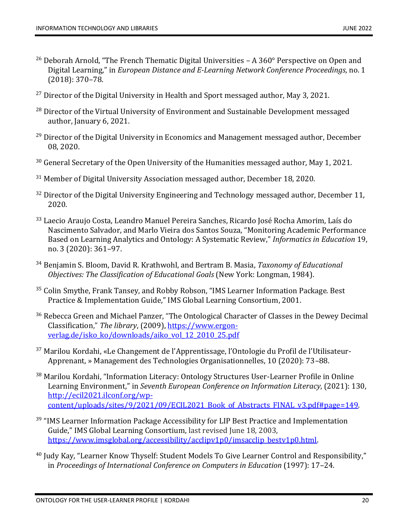- <sup>26</sup> Deborah Arnold, "The French Thematic Digital Universities  $A 360^\circ$  Perspective on Open and Digital Learning," in *European Distance and E-Learning Network Conference Proceedings*, no. 1 (2018): 370–78.
- $27$  Director of the Digital University in Health and Sport messaged author, May 3, 2021.
- <sup>28</sup> Director of the Virtual University of Environment and Sustainable Development messaged author, January 6, 2021.
- <sup>29</sup> Director of the Digital University in Economics and Management messaged author, December 08, 2020.
- $30$  General Secretary of the Open University of the Humanities messaged author, May 1, 2021.
- <sup>31</sup> Member of Digital University Association messaged author, December 18, 2020.
- $32$  Director of the Digital University Engineering and Technology messaged author, December 11, 2020.
- <sup>33</sup> Laecio Araujo Costa, Leandro Manuel Pereira Sanches, Ricardo José Rocha Amorim, Laís do Nascimento Salvador, and Marlo Vieira dos Santos Souza, "Monitoring Academic Performance Based on Learning Analytics and Ontology: A Systematic Review," *Informatics in Education* 19, no. 3 (2020): 361–97.
- <sup>34</sup> Benjamin S. Bloom, David R. Krathwohl, and Bertram B. Masia, *Taxonomy of Educational Objectives: The Classification of Educational Goals* (New York: Longman, 1984).
- <sup>35</sup> Colin Smythe, Frank Tansey, and Robby Robson, "IMS Learner Information Package. Best Practice & Implementation Guide," IMS Global Learning Consortium, 2001.
- <sup>36</sup> Rebecca Green and Michael Panzer, "The Ontological Character of Classes in the Dewey Decimal Classification," *The library*, (2009), [https://www.ergon](https://www.ergon-verlag.de/isko_ko/downloads/aiko_vol_12_2010_25.pdf)[verlag.de/isko\\_ko/downloads/aiko\\_vol\\_12\\_2010\\_25.pdf](https://www.ergon-verlag.de/isko_ko/downloads/aiko_vol_12_2010_25.pdf)
- <sup>37</sup> Marilou Kordahi, «Le Changement de l'Apprentissage, l'Ontologie du Profil de l'Utilisateur-Apprenant, » Management des Technologies Organisationnelles, 10 (2020): 73–88.
- <sup>38</sup> Marilou Kordahi, "Information Literacy: Ontology Structures User-Learner Profile in Online Learning Environment," in *Seventh European Conference on Information Literacy*, (2021): 130, [http://ecil2021.ilconf.org/wp](http://ecil2021.ilconf.org/wp-content/uploads/sites/9/2021/09/ECIL2021_Book_of_Abstracts_FINAL_v3.pdf#page=149)[content/uploads/sites/9/2021/09/ECIL2021\\_Book\\_of\\_Abstracts\\_FINAL\\_v3.pdf#page=149.](http://ecil2021.ilconf.org/wp-content/uploads/sites/9/2021/09/ECIL2021_Book_of_Abstracts_FINAL_v3.pdf#page=149)
- <sup>39</sup> "IMS Learner Information Package Accessibility for LIP Best Practice and Implementation Guide," IMS Global Learning Consortium, last revised June 18, 2003, [https://www.imsglobal.org/accessibility/acclipv1p0/imsacclip\\_bestv1p0.html.](https://www.imsglobal.org/accessibility/acclipv1p0/imsacclip_bestv1p0.html)
- <sup>40</sup> Judy Kay, "Learner Know Thyself: Student Models To Give Learner Control and Responsibility," in *Proceedings of International Conference on Computers in Education* (1997): 17–24.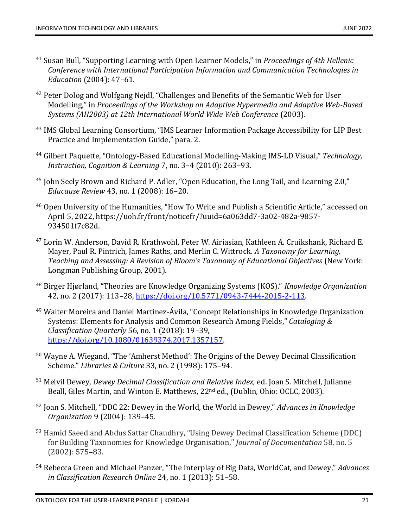- <sup>41</sup> Susan Bull, "Supporting Learning with Open Learner Models," in *Proceedings of 4th Hellenic Conference with International Participation Information and Communication Technologies in Education* (2004): 47–61.
- <sup>42</sup> Peter Dolog and Wolfgang Nejdl, "Challenges and Benefits of the Semantic Web for User Modelling," in *Proceedings of the Workshop on Adaptive Hypermedia and Adaptive Web-Based Systems (AH2003) at 12th International World Wide Web Conference* (2003).
- <sup>43</sup> IMS Global Learning Consortium, "IMS Learner Information Package Accessibility for LIP Best Practice and Implementation Guide," para. 2.
- <sup>44</sup> Gilbert Paquette, "Ontology-Based Educational Modelling-Making IMS-LD Visual," *Technology, Instruction, Cognition & Learning* 7, no. 3–4 (2010): 263–93.
- <sup>45</sup> John Seely Brown and Richard P. Adler, "Open Education, the Long Tail, and Learning 2.0," *Educause Review* 43, no. 1 (2008): 16–20.
- <sup>46</sup> Open University of the Humanities, "How To Write and Publish a Scientific Article," accessed on April 5, 2022, https://uoh.fr/front/noticefr/?uuid=6a063dd7-3a02-482a-9857- 934501f7c82d.
- <sup>47</sup> Lorin W. Anderson, David R. Krathwohl, Peter W. Airiasian, Kathleen A. Cruikshank, Richard E. Mayer, Paul R. Pintrich, James Raths, and Merlin C. Wittrock. *A Taxonomy for Learning, Teaching and Assessing: A Revision of Bloom's Taxonomy of Educational Objectives* (New York: Longman Publishing Group, 2001).
- <sup>48</sup> Birger Hjørland, "Theories are Knowledge Organizing Systems (KOS)." *Knowledge Organization* 42, no. 2 (2017): 113–28, [https://doi.org/10.5771/0943-7444-2015-2-113.](https://doi.org/10.5771/0943-7444-2015-2-113)
- <sup>49</sup> Walter Moreira and Daniel Martínez-Ávila, "Concept Relationships in Knowledge Organization Systems: Elements for Analysis and Common Research Among Fields," *Cataloging & Classification Quarterly* 56, no. 1 (2018): 19–39, [https://doi.org/10.1080/01639374.2017.1357157.](https://doi.org/10.1080/01639374.2017.1357157)
- <sup>50</sup> Wayne A. Wiegand, "The 'Amherst Method': The Origins of the Dewey Decimal Classification Scheme." *Libraries & Culture* 33, no. 2 (1998): 175–94.
- <sup>51</sup> Melvil Dewey, *Dewey Decimal Classification and Relative Index,* ed. Joan S. Mitchell, Julianne Beall, Giles Martin, and Winton E. Matthews, 22<sup>nd</sup> ed., (Dublin, Ohio: OCLC, 2003).
- <sup>52</sup> Joan S. Mitchell, "DDC 22: Dewey in the World, the World in Dewey," *Advances in Knowledge Organization* 9 (2004): 139–45.
- <sup>53</sup> Hamid Saeed and Abdus Sattar Chaudhry, "Using Dewey Decimal Classification Scheme (DDC) for Building Taxonomies for Knowledge Organisation," *Journal of Documentation* 58, no. 5 (2002): 575–83.
- <sup>54</sup> Rebecca Green and Michael Panzer, "The Interplay of Big Data, WorldCat, and Dewey," *Advances in Classification Research Online* 24, no. 1 (2013): 51–58.